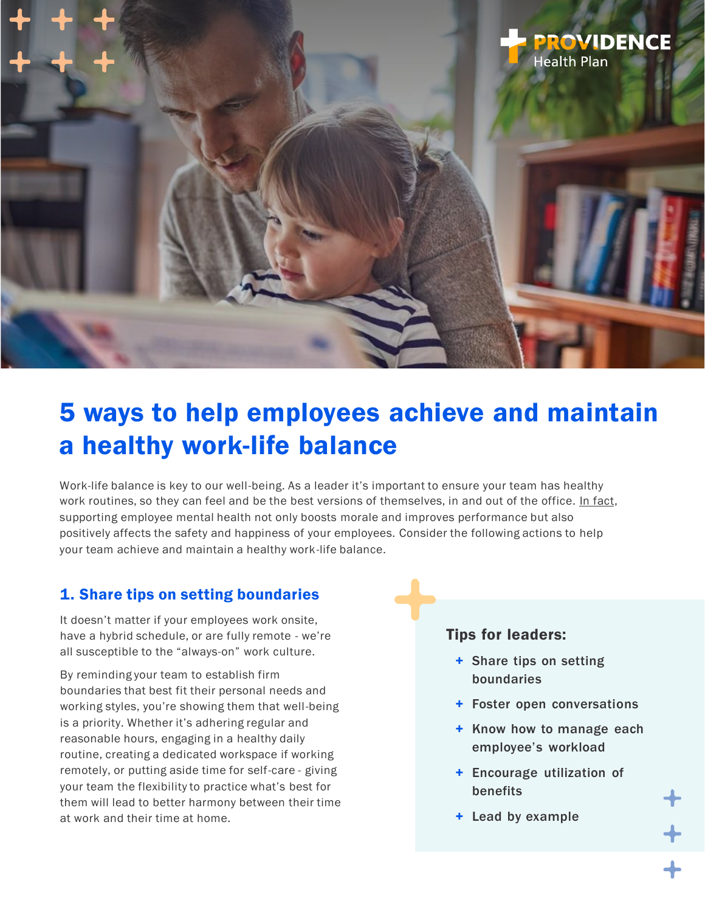

# 5 ways to help employees achieve and maintain a healthy work-life balance

Work-life balance is key to our well-being. As a leader it's important to ensure your team has healthy work routines, so they can feel and be the best versions of themselves, in and out of the office. [In fact,](https://hbr.org/2021/10/7-strategies-to-improve-your-employees-health-and-well-being) supporting employee mental health not only boosts morale and improves performance but also positively affects the safety and happiness of your employees. Consider the following actions to help your team achieve and maintain a healthy work-life balance.

## 1. Share tips on setting boundaries

It doesn't matter if your employees work onsite, have a hybrid schedule, or are fully remote - we're all susceptible to the "always-on" work culture.

By reminding your team to establish firm boundaries that best fit their personal needs and working styles, you're showing them that well-being is a priority. Whether it's adhering regular and reasonable hours, engaging in a healthy daily routine, creating a dedicated workspace if working remotely, or putting aside time for self-care - giving your team the flexibility to practice what's best for them will lead to better harmony between their time at work and their time at home.

#### Tips for leaders:

- + Share tips on setting boundaries
- + Foster open conversations
- + Know how to manage each employee's workload
- + Encourage utilization of benefits
- + Lead by example